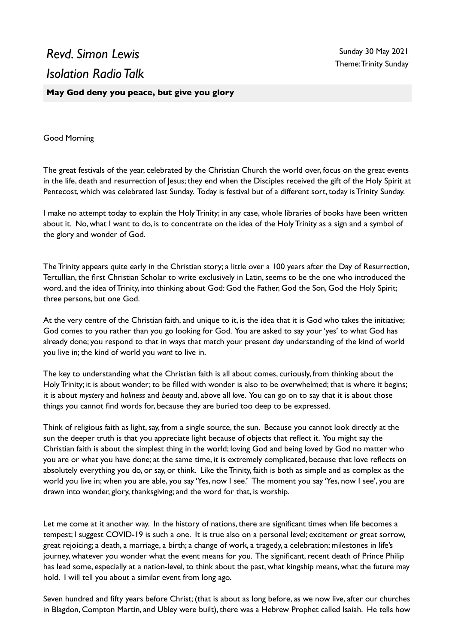## *Revd. Simon Lewis Isolation Radio Talk*

**May God deny you peace, but give you glory**

Good Morning

The great festivals of the year, celebrated by the Christian Church the world over, focus on the great events in the life, death and resurrection of Jesus; they end when the Disciples received the gift of the Holy Spirit at Pentecost, which was celebrated last Sunday. Today is festival but of a different sort, today is Trinity Sunday.

I make no attempt today to explain the Holy Trinity; in any case, whole libraries of books have been written about it. No, what I want to do, is to concentrate on the idea of the Holy Trinity as a sign and a symbol of the glory and wonder of God.

The Trinity appears quite early in the Christian story; a little over a 100 years after the Day of Resurrection, Tertullian, the first Christian Scholar to write exclusively in Latin, seems to be the one who introduced the word, and the idea of Trinity, into thinking about God: God the Father, God the Son, God the Holy Spirit; three persons, but one God.

At the very centre of the Christian faith, and unique to it, is the idea that it is God who takes the initiative; God comes to you rather than you go looking for God. You are asked to say your 'yes' to what God has already done; you respond to that in ways that match your present day understanding of the kind of world you live in; the kind of world you *want* to live in.

The key to understanding what the Christian faith is all about comes, curiously, from thinking about the Holy Trinity; it is about wonder; to be filled with wonder is also to be overwhelmed; that is where it begins; it is about *mystery* and *holiness* and *beauty* and, above all *love*. You can go on to say that it is about those things you cannot find words for, because they are buried too deep to be expressed.

Think of religious faith as light, say, from a single source, the sun. Because you cannot look directly at the sun the deeper truth is that you appreciate light because of objects that reflect it. You might say the Christian faith is about the simplest thing in the world; loving God and being loved by God no matter who you are or what you have done; at the same time, it is extremely complicated, because that love reflects on absolutely everything you do, or say, or think. Like the Trinity, faith is both as simple and as complex as the world you live in; when you are able, you say 'Yes, now I see.' The moment you say 'Yes, now I see', you are drawn into wonder, glory, thanksgiving; and the word for that, is worship.

Let me come at it another way. In the history of nations, there are significant times when life becomes a tempest; I suggest COVID-19 is such a one. It is true also on a personal level; excitement or great sorrow, great rejoicing; a death, a marriage, a birth; a change of work, a tragedy, a celebration; milestones in life's journey, whatever you wonder what the event means for you. The significant, recent death of Prince Philip has lead some, especially at a nation-level, to think about the past, what kingship means, what the future may hold. I will tell you about a similar event from long ago.

Seven hundred and fifty years before Christ; (that is about as long before, as we now live, after our churches in Blagdon, Compton Martin, and Ubley were built), there was a Hebrew Prophet called Isaiah. He tells how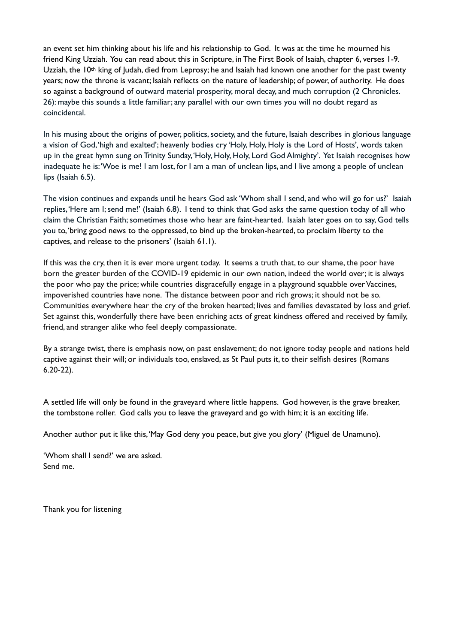an event set him thinking about his life and his relationship to God. It was at the time he mourned his friend King Uzziah. You can read about this in Scripture, in The First Book of Isaiah, chapter 6, verses 1-9. Uzziah, the 10<sup>th</sup> king of Judah, died from Leprosy; he and Isaiah had known one another for the past twenty years; now the throne is vacant; Isaiah reflects on the nature of leadership; of power, of authority. He does so against a background of outward material prosperity, moral decay, and much corruption (2 Chronicles. 26): maybe this sounds a little familiar; any parallel with our own times you will no doubt regard as coincidental.

In his musing about the origins of power, politics, society, and the future, Isaiah describes in glorious language a vision of God, 'high and exalted'; heavenly bodies cry 'Holy, Holy, Holy is the Lord of Hosts'*,* words taken up in the great hymn sung on Trinity Sunday, 'Holy, Holy, Holy, Lord God Almighty'. Yet Isaiah recognises how inadequate he is: 'Woe is me! I am lost, for I am a man of unclean lips, and I live among a people of unclean lips (Isaiah 6.5).

The vision continues and expands until he hears God ask 'Whom shall I send, and who will go for us?' Isaiah replies, 'Here am I; send me!' (Isaiah 6.8). I tend to think that God asks the same question today of all who claim the Christian Faith; sometimes those who hear are faint-hearted. Isaiah later goes on to say, God tells you to, 'bring good news to the oppressed, to bind up the broken-hearted, to proclaim liberty to the captives, and release to the prisoners' (Isaiah 61.1).

If this was the cry, then it is ever more urgent today. It seems a truth that, to our shame, the poor have born the greater burden of the COVID-19 epidemic in our own nation, indeed the world over; it is always the poor who pay the price; while countries disgracefully engage in a playground squabble over Vaccines, impoverished countries have none. The distance between poor and rich grows; it should not be so. Communities everywhere hear the cry of the broken hearted; lives and families devastated by loss and grief. Set against this, wonderfully there have been enriching acts of great kindness offered and received by family, friend, and stranger alike who feel deeply compassionate.

By a strange twist, there is emphasis now, on past enslavement; do not ignore today people and nations held captive against their will; or individuals too, enslaved, as St Paul puts it, to their selfish desires (Romans 6.20-22).

A settled life will only be found in the graveyard where little happens. God however, is the grave breaker, the tombstone roller. God calls you to leave the graveyard and go with him; it is an exciting life.

Another author put it like this, 'May God deny you peace, but give you glory' (Miguel de Unamuno).

'Whom shall I send?' we are asked. Send me.

Thank you for listening